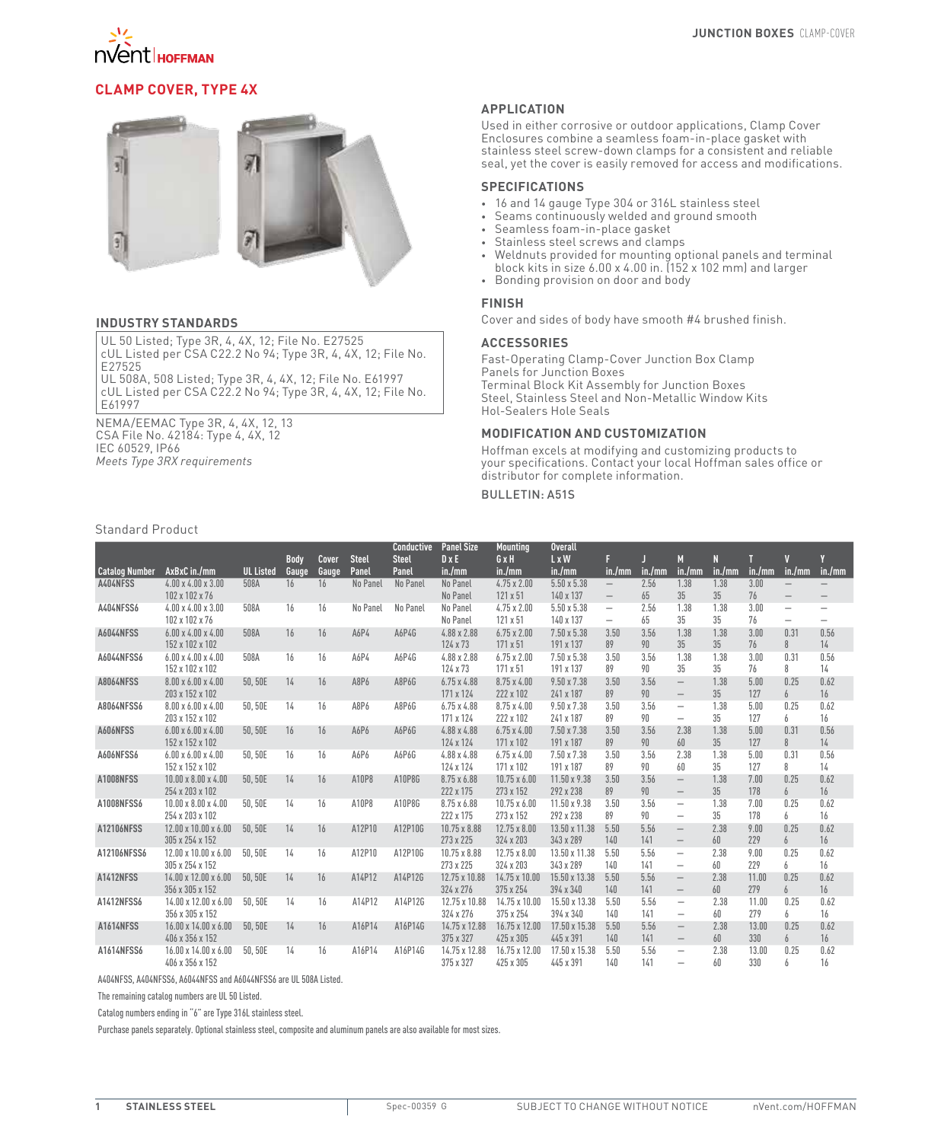

# **Clamp Cover, Type 4X**



#### **INDUSTRY STANDARDS**

UL 50 Listed; Type 3R, 4, 4X, 12; File No. E27525 cUL Listed per CSA C22.2 No 94; Type 3R, 4, 4X, 12; File No. E27525

UL 508A, 508 Listed; Type 3R, 4, 4X, 12; File No. E61997 cUL Listed per CSA C22.2 No 94; Type 3R, 4, 4X, 12; File No. E61997

NEMA/EEMAC Type 3R, 4, 4X, 12, 13 CSA File No. 42184: Type 4, 4X, 12 IEC 60529, IP66 *Meets Type 3RX requirements*

# **APPLICATION**

Used in either corrosive or outdoor applications, Clamp Cover Enclosures combine a seamless foam-in-place gasket with stainless steel screw-down clamps for a consistent and reliable seal, yet the cover is easily removed for access and modifications.

# **SPECIFICATIONS**

- • 16 and 14 gauge Type 304 or 316L stainless steel
- • Seams continuously welded and ground smooth
- • Seamless foam-in-place gasket
- • Stainless steel screws and clamps
- • Weldnuts provided for mounting optional panels and terminal block kits in size 6.00 x 4.00 in. (152 x 102 mm) and larger
- • Bonding provision on door and body

## **FINISH**

Cover and sides of body have smooth #4 brushed finish.

#### **ACCESSORIES**

Fast-Operating Clamp-Cover Junction Box Clamp Panels for Junction Boxes Terminal Block Kit Assembly for Junction Boxes Steel, Stainless Steel and Non-Metallic Window Kits Hol-Sealers Hole Seals

## **MODIFICATION AND CUSTOMIZATION**

Hoffman excels at modifying and customizing products to your specifications. Contact your local Hoffman sales office or distributor for complete information.

# Bulletin: A51S

# Standard Product

|                       |                                  |                  |             |              |              | <b>Conductive</b> | <b>Panel Size</b>   | <b>Mounting</b>     | <b>Overall</b>     |                                 |        |                                 |        |        |                          |                          |
|-----------------------|----------------------------------|------------------|-------------|--------------|--------------|-------------------|---------------------|---------------------|--------------------|---------------------------------|--------|---------------------------------|--------|--------|--------------------------|--------------------------|
|                       |                                  |                  | <b>Body</b> | <b>Cover</b> | <b>Steel</b> | <b>Steel</b>      | $D \times E$        | GxH                 | L x W              | F                               |        | M                               | N      |        | V                        |                          |
| <b>Catalog Number</b> | AxBxC in./mm                     | <b>UL Listed</b> | Gauge       | Gauge        | Panel        | Panel             | in./mm              | in./mm              | in./mm             | in./mm                          | in./mm | in./mm                          | in./mm | in./mm | in./mm                   | in./mm                   |
| A404NFSS              | $4.00 \times 4.00 \times 3.00$   | 508A             | 16          | 16           | No Panel     | No Panel          | No Panel            | $4.75 \times 2.00$  | $5.50 \times 5.38$ | $\overline{\phantom{m}}$        | 2.56   | 1.38                            | 1.38   | 3.00   | $\overline{\phantom{0}}$ |                          |
|                       | 102 x 102 x 76                   |                  |             |              |              |                   | No Panel            | 121 x 51            | 140 x 137          | $\hspace{0.1mm}-\hspace{0.1mm}$ | 65     | 35                              | 35     | 76     | $\overline{\phantom{m}}$ |                          |
| A404NFSS6             | $4.00 \times 4.00 \times 3.00$   | 508A             | 16          | 16           | No Panel     | No Panel          | No Panel            | $4.75 \times 2.00$  | $5.50 \times 5.38$ | $\qquad \qquad -$               | 2.56   | 1.38                            | 1.38   | 3.00   | $\overline{\phantom{0}}$ | $\overline{\phantom{0}}$ |
|                       | 102 x 102 x 76                   |                  |             |              |              |                   | No Panel            | 121 x 51            | 140 x 137          | $\qquad \qquad -$               | 65     | 35                              | 35     | 76     | —                        | $\qquad \qquad -$        |
| <b>A6044NFSS</b>      | $6.00 \times 4.00 \times 4.00$   | 508A             | 16          | 16           | A6P4         | A6P4G             | $4.88 \times 2.88$  | $6.75 \times 2.00$  | $7.50 \times 5.38$ | 3.50                            | 3.56   | 1.38                            | 1.38   | 3.00   | 0.31                     | 0.56                     |
|                       | 152 x 102 x 102                  |                  |             |              |              |                   | 124 x 73            | 171 x 51            | 191 x 137          | 89                              | 90     | 35                              | 35     | 76     | 8                        | 14                       |
| A6044NFSS6            | $6.00 \times 4.00 \times 4.00$   | 508A             | 16          | 16           | A6P4         | A6P4G             | 4.88 x 2.88         | $6.75 \times 2.00$  | $7.50 \times 5.38$ | 3.50                            | 3.56   | 1.38                            | 1.38   | 3.00   | 0.31                     | 0.56                     |
|                       | 152 x 102 x 102                  |                  |             |              |              |                   | 124 x 73            | 171 x 51            | 191 x 137          | 89                              | 90     | 35                              | 35     | 76     | 8                        | 14                       |
| <b>A8064NFSS</b>      | $8.00 \times 6.00 \times 4.00$   | 50.50E           | 14          | 16           | A8P6         | A8P6G             | $6.75 \times 4.88$  | $8.75 \times 4.00$  | $9.50 \times 7.38$ | 3.50                            | 3.56   | $\overline{\phantom{m}}$        | 1.38   | 5.00   | 0.25                     | 0.62                     |
|                       | 203 x 152 x 102                  |                  |             |              |              |                   | 171 x 124           | 222 x 102           | 241 x 187          | 89                              | 90     | $\overline{\phantom{m}}$        | 35     | 127    | 6                        | 16                       |
| A8064NFSS6            | $8.00 \times 6.00 \times 4.00$   | 50.50E           | 14          | 16           | A8P6         | A8P6G             | $6.75 \times 4.88$  | $8.75 \times 4.00$  | $9.50 \times 7.38$ | 3.50                            | 3.56   | $\overline{\phantom{m}}$        | 1.38   | 5.00   | 0.25                     | 0.62                     |
|                       | 203 x 152 x 102                  |                  |             |              |              |                   | 171 x 124           | 222 x 102           | 241 x 187          | 89                              | 90     | $\overline{\phantom{m}}$        | 35     | 127    | 6                        | 16                       |
| A606NFSS              | $6.00 \times 6.00 \times 4.00$   | 50.50E           | 16          | 16           | A6P6         | A6P6G             | 4.88 x 4.88         | $6.75 \times 4.00$  | 7.50 x 7.38        | 3.50                            | 3.56   | 2.38                            | 1.38   | 5.00   | 0.31                     | 0.56                     |
|                       | 152 x 152 x 102                  |                  |             |              |              |                   | 124 x 124           | 171 x 102           | 191 x 187          | 89                              | 90     | 60                              | 35     | 127    | 8                        | 14                       |
| A606NFSS6             | $6.00 \times 6.00 \times 4.00$   | 50.50E           | 16          | 16           | A6P6         | A6P6G             | 4.88 x 4.88         | $6.75 \times 4.00$  | 7.50 x 7.38        | 3.50                            | 3.56   | 2.38                            | 1.38   | 5.00   | 0.31                     | 0.56                     |
|                       | 152 x 152 x 102                  |                  |             |              |              |                   | 124 x 124           | 171 x 102           | 191 x 187          | 89                              | 90     | 60                              | 35     | 127    | 8                        | 14                       |
| A1008NFSS             | $10.00 \times 8.00 \times 4.00$  | 50,50E           | 14          | 16           | A10P8        | A10P8G            | 8.75 x 6.88         | $10.75 \times 6.00$ | 11.50 x 9.38       | 3.50                            | 3.56   | $\!-$                           | 1.38   | 7.00   | 0.25                     | 0.62                     |
|                       | 254 x 203 x 102                  |                  |             |              |              |                   | 222 x 175           | 273 x 152           | 292 x 238          | 89                              | 90     | $\overline{\phantom{m}}$        | 35     | 178    | 6                        | 16                       |
| A1008NFSS6            | $10.00 \times 8.00 \times 4.00$  | 50.50E           | 14          | 16           | A10P8        | A10P8G            | 8.75 x 6.88         | $10.75 \times 6.00$ | 11.50 x 9.38       | 3.50                            | 3.56   | $\overline{\phantom{m}}$        | 1.38   | 7.00   | 0.25                     | 0.62                     |
|                       | 254 x 203 x 102                  |                  |             |              |              |                   | 222 x 175           | 273 x 152           | 292 x 238          | 89                              | 90     | $\overline{\phantom{m}}$        | 35     | 178    | 6                        | 16                       |
| A12106NFSS            | 12.00 x 10.00 x 6.00             | 50.50E           | 14          | 16           | A12P10       | A12P10G           | 10.75 x 8.88        | $12.75 \times 8.00$ | 13.50 x 11.38      | 5.50                            | 5.56   | $\overline{\phantom{m}}$        | 2.38   | 9.00   | 0.25                     | 0.62                     |
|                       | 305 x 254 x 152                  |                  |             |              |              |                   | 273 x 225           | 324 x 203           | 343 x 289          | 140                             | 141    | $\overline{\phantom{m}}$        | 60     | 229    | 6                        | 16                       |
| A12106NFSS6           | 12.00 x 10.00 x 6.00             | 50.50E           | 14          | 16           | A12P10       | A12P10G           | $10.75 \times 8.88$ | 12.75 x 8.00        | 13.50 x 11.38      | 5.50                            | 5.56   | $\overline{\phantom{m}}$        | 2.38   | 9.00   | 0.25                     | 0.62                     |
|                       | 305 x 254 x 152                  |                  |             |              |              |                   | 273 x 225           | 324 x 203           | 343 x 289          | 140                             | 141    | $\qquad \qquad -$               | 60     | 229    | 6                        | 16                       |
| A1412NFSS             | 14.00 x 12.00 x 6.00             | 50,50E           | 14          | 16           | A14P12       | A14P12G           | 12.75 x 10.88       | 14.75 x 10.00       | 15.50 x 13.38      | 5.50                            | 5.56   | $\overline{\phantom{m}}$        | 2.38   | 11.00  | 0.25                     | 0.62                     |
|                       | 356 x 305 x 152                  |                  |             |              |              |                   | 324 x 276           | 375 x 254           | 394 x 340          | 140                             | 141    | $\hspace{0.1mm}-\hspace{0.1mm}$ | 60     | 279    | 6                        | 16                       |
| A1412NFSS6            | 14.00 x 12.00 x 6.00             | 50, 50E          | 14          | 16           | A14P12       | A14P12G           | 12.75 x 10.88       | 14.75 x 10.00       | 15.50 x 13.38      | 5.50                            | 5.56   | $\overline{\phantom{m}}$        | 2.38   | 11.00  | 0.25                     | 0.62                     |
|                       | 356 x 305 x 152                  |                  |             |              |              |                   | 324 x 276           | 375 x 254           | 394 x 340          | 140                             | 141    | $\overline{\phantom{m}}$        | 60     | 279    | $\overline{h}$           | 16                       |
| <b>A1614NFSS</b>      | $16.00 \times 14.00 \times 6.00$ | 50.50E           | 14          | 16           | A16P14       | A16P14G           | 14.75 x 12.88       | 16.75 x 12.00       | 17.50 x 15.38      | 5.50                            | 5.56   | $\!-$                           | 2.38   | 13.00  | 0.25                     | 0.62                     |
|                       | 406 x 356 x 152                  |                  |             |              |              |                   | 375 x 327           | 425 x 305           | 445 x 391          | 140                             | 141    | $\hspace{0.1mm}-\hspace{0.1mm}$ | 60     | 330    | 6                        | 16                       |
| A1614NFSS6            | $16.00 \times 14.00 \times 6.00$ | 50.50E           | 14          | 16           | A16P14       | A16P14G           | 14.75 x 12.88       | 16.75 x 12.00       | 17.50 x 15.38      | 5.50                            | 5.56   | $\overline{\phantom{m}}$        | 2.38   | 13.00  | 0.25                     | 0.62                     |
|                       | 406 x 356 x 152                  |                  |             |              |              |                   | 375 x 327           | 425 x 305           | 445 x 391          | 140                             | 141    | $\qquad \qquad -$               | 60     | 330    | 6                        | 16                       |

A404NFSS, A404NFSS6, A6044NFSS and A6044NFSS6 are UL 508A Listed.

The remaining catalog numbers are UL 50 Listed.

Catalog numbers ending in "6" are Type 316L stainless steel.

Purchase panels separately. Optional stainless steel, composite and aluminum panels are also available for most sizes.